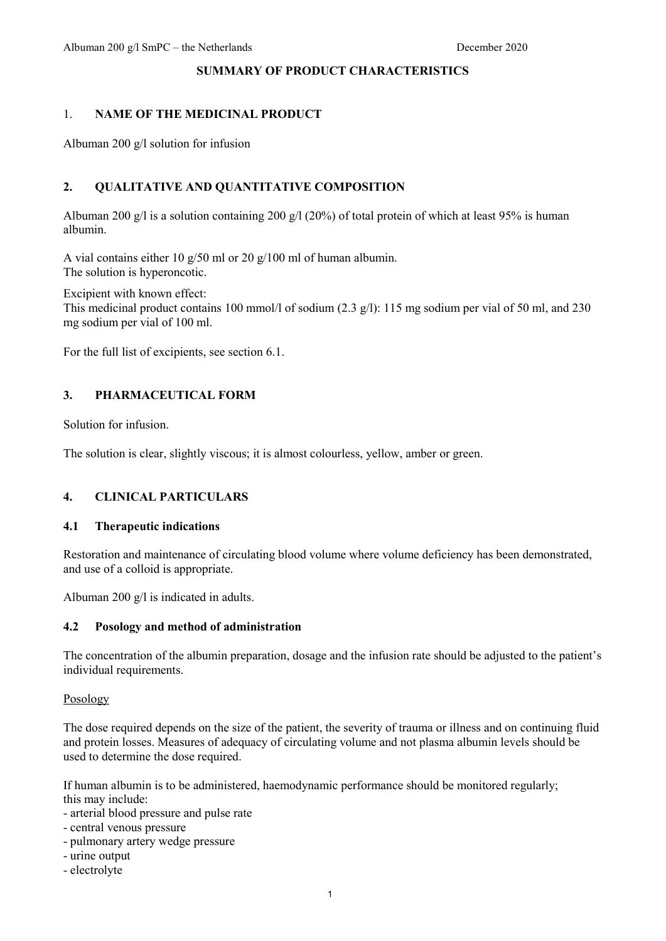#### **SUMMARY OF PRODUCT CHARACTERISTICS**

# 1. **NAME OF THE MEDICINAL PRODUCT**

Albuman 200 g/l solution for infusion

# **2. QUALITATIVE AND QUANTITATIVE COMPOSITION**

Albuman 200 g/l is a solution containing 200 g/l (20%) of total protein of which at least 95% is human albumin.

A vial contains either 10 g/50 ml or 20 g/100 ml of human albumin. The solution is hyperoncotic.

Excipient with known effect:

This medicinal product contains 100 mmol/l of sodium (2.3 g/l): 115 mg sodium per vial of 50 ml, and 230 mg sodium per vial of 100 ml.

For the full list of excipients, see section 6.1.

## **3. PHARMACEUTICAL FORM**

Solution for infusion.

The solution is clear, slightly viscous; it is almost colourless, yellow, amber or green.

### **4. CLINICAL PARTICULARS**

#### **4.1 Therapeutic indications**

Restoration and maintenance of circulating blood volume where volume deficiency has been demonstrated, and use of a colloid is appropriate.

Albuman 200 g/l is indicated in adults.

### **4.2 Posology and method of administration**

The concentration of the albumin preparation, dosage and the infusion rate should be adjusted to the patient's individual requirements.

Posology

The dose required depends on the size of the patient, the severity of trauma or illness and on continuing fluid and protein losses. Measures of adequacy of circulating volume and not plasma albumin levels should be used to determine the dose required.

If human albumin is to be administered, haemodynamic performance should be monitored regularly; this may include:

- arterial blood pressure and pulse rate
- central venous pressure
- pulmonary artery wedge pressure
- urine output
- electrolyte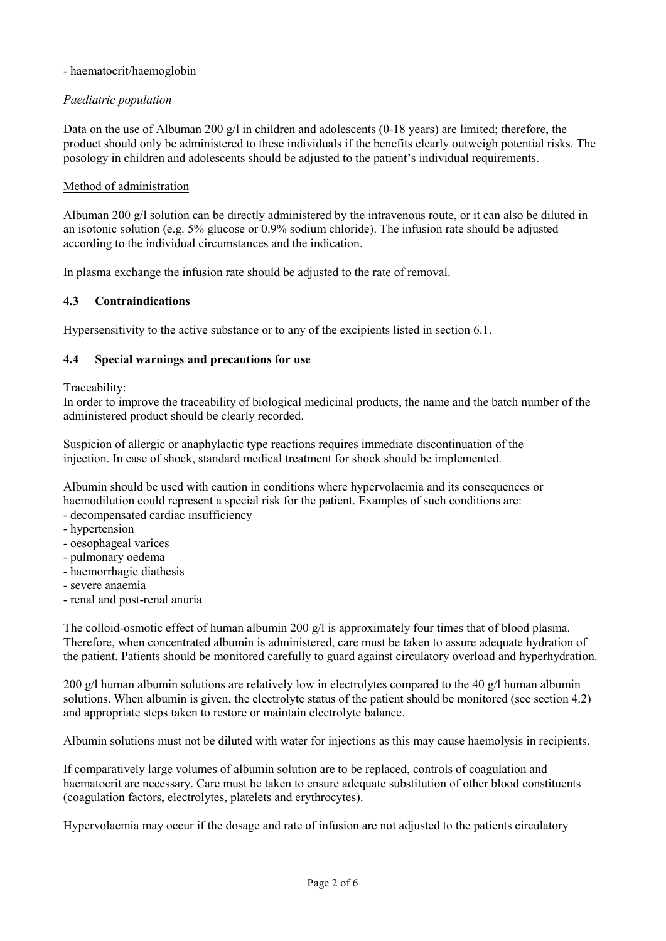### - haematocrit/haemoglobin

## *Paediatric population*

Data on the use of Albuman 200  $g/l$  in children and adolescents (0-18 years) are limited; therefore, the product should only be administered to these individuals if the benefits clearly outweigh potential risks. The posology in children and adolescents should be adjusted to the patient's individual requirements.

### Method of administration

Albuman 200 g/l solution can be directly administered by the intravenous route, or it can also be diluted in an isotonic solution (e.g. 5% glucose or 0.9% sodium chloride). The infusion rate should be adjusted according to the individual circumstances and the indication.

In plasma exchange the infusion rate should be adjusted to the rate of removal.

### **4.3 Contraindications**

Hypersensitivity to the active substance or to any of the excipients listed in section 6.1.

#### **4.4 Special warnings and precautions for use**

Traceability:

In order to improve the traceability of biological medicinal products, the name and the batch number of the administered product should be clearly recorded.

Suspicion of allergic or anaphylactic type reactions requires immediate discontinuation of the injection. In case of shock, standard medical treatment for shock should be implemented.

Albumin should be used with caution in conditions where hypervolaemia and its consequences or haemodilution could represent a special risk for the patient. Examples of such conditions are:

- decompensated cardiac insufficiency
- hypertension
- oesophageal varices
- pulmonary oedema
- haemorrhagic diathesis
- severe anaemia
- renal and post-renal anuria

The colloid-osmotic effect of human albumin 200  $g/l$  is approximately four times that of blood plasma. Therefore, when concentrated albumin is administered, care must be taken to assure adequate hydration of the patient. Patients should be monitored carefully to guard against circulatory overload and hyperhydration.

200 g/l human albumin solutions are relatively low in electrolytes compared to the 40 g/l human albumin solutions. When albumin is given, the electrolyte status of the patient should be monitored (see section 4.2) and appropriate steps taken to restore or maintain electrolyte balance.

Albumin solutions must not be diluted with water for injections as this may cause haemolysis in recipients.

If comparatively large volumes of albumin solution are to be replaced, controls of coagulation and haematocrit are necessary. Care must be taken to ensure adequate substitution of other blood constituents (coagulation factors, electrolytes, platelets and erythrocytes).

Hypervolaemia may occur if the dosage and rate of infusion are not adjusted to the patients circulatory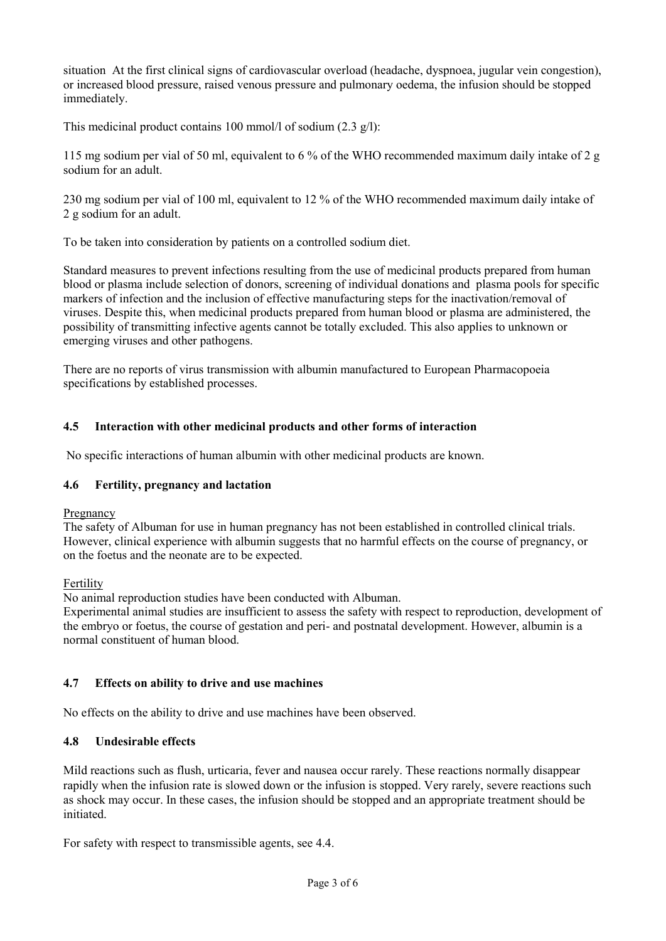situation At the first clinical signs of cardiovascular overload (headache, dyspnoea, jugular vein congestion), or increased blood pressure, raised venous pressure and pulmonary oedema, the infusion should be stopped immediately.

This medicinal product contains 100 mmol/l of sodium (2.3 g/l):

115 mg sodium per vial of 50 ml, equivalent to 6 % of the WHO recommended maximum daily intake of 2 g sodium for an adult.

230 mg sodium per vial of 100 ml, equivalent to 12 % of the WHO recommended maximum daily intake of 2 g sodium for an adult.

To be taken into consideration by patients on a controlled sodium diet.

Standard measures to prevent infections resulting from the use of medicinal products prepared from human blood or plasma include selection of donors, screening of individual donations and plasma pools for specific markers of infection and the inclusion of effective manufacturing steps for the inactivation/removal of viruses. Despite this, when medicinal products prepared from human blood or plasma are administered, the possibility of transmitting infective agents cannot be totally excluded. This also applies to unknown or emerging viruses and other pathogens.

There are no reports of virus transmission with albumin manufactured to European Pharmacopoeia specifications by established processes.

## **4.5 Interaction with other medicinal products and other forms of interaction**

No specific interactions of human albumin with other medicinal products are known.

### **4.6 Fertility, pregnancy and lactation**

Pregnancy

The safety of Albuman for use in human pregnancy has not been established in controlled clinical trials. However, clinical experience with albumin suggests that no harmful effects on the course of pregnancy, or on the foetus and the neonate are to be expected.

Fertility

No animal reproduction studies have been conducted with Albuman.

Experimental animal studies are insufficient to assess the safety with respect to reproduction, development of the embryo or foetus, the course of gestation and peri- and postnatal development. However, albumin is a normal constituent of human blood.

### **4.7 Effects on ability to drive and use machines**

No effects on the ability to drive and use machines have been observed.

### **4.8 Undesirable effects**

Mild reactions such as flush, urticaria, fever and nausea occur rarely. These reactions normally disappear rapidly when the infusion rate is slowed down or the infusion is stopped. Very rarely, severe reactions such as shock may occur. In these cases, the infusion should be stopped and an appropriate treatment should be initiated.

For safety with respect to transmissible agents, see 4.4.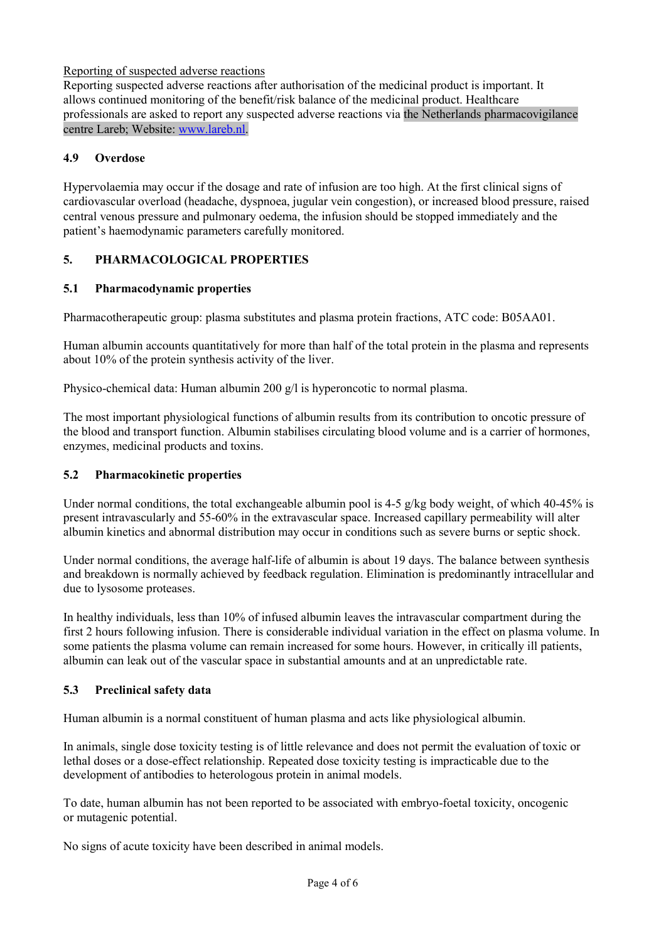## Reporting of suspected adverse reactions

Reporting suspected adverse reactions after authorisation of the medicinal product is important. It allows continued monitoring of the benefit/risk balance of the medicinal product. Healthcare professionals are asked to report any suspected adverse reactions via the Netherlands pharmacovigilance centre Lareb; Website: [www.lareb.nl.](http://www.lareb.nl/)

### **4.9 Overdose**

Hypervolaemia may occur if the dosage and rate of infusion are too high. At the first clinical signs of cardiovascular overload (headache, dyspnoea, jugular vein congestion), or increased blood pressure, raised central venous pressure and pulmonary oedema, the infusion should be stopped immediately and the patient's haemodynamic parameters carefully monitored.

## **5. PHARMACOLOGICAL PROPERTIES**

## **5.1 Pharmacodynamic properties**

Pharmacotherapeutic group: plasma substitutes and plasma protein fractions, ATC code: B05AA01.

Human albumin accounts quantitatively for more than half of the total protein in the plasma and represents about 10% of the protein synthesis activity of the liver.

Physico-chemical data: Human albumin 200 g/l is hyperoncotic to normal plasma.

The most important physiological functions of albumin results from its contribution to oncotic pressure of the blood and transport function. Albumin stabilises circulating blood volume and is a carrier of hormones, enzymes, medicinal products and toxins.

### **5.2 Pharmacokinetic properties**

Under normal conditions, the total exchangeable albumin pool is 4-5 g/kg body weight, of which 40-45% is present intravascularly and 55-60% in the extravascular space. Increased capillary permeability will alter albumin kinetics and abnormal distribution may occur in conditions such as severe burns or septic shock.

Under normal conditions, the average half-life of albumin is about 19 days. The balance between synthesis and breakdown is normally achieved by feedback regulation. Elimination is predominantly intracellular and due to lysosome proteases.

In healthy individuals, less than 10% of infused albumin leaves the intravascular compartment during the first 2 hours following infusion. There is considerable individual variation in the effect on plasma volume. In some patients the plasma volume can remain increased for some hours. However, in critically ill patients, albumin can leak out of the vascular space in substantial amounts and at an unpredictable rate.

# **5.3 Preclinical safety data**

Human albumin is a normal constituent of human plasma and acts like physiological albumin.

In animals, single dose toxicity testing is of little relevance and does not permit the evaluation of toxic or lethal doses or a dose-effect relationship. Repeated dose toxicity testing is impracticable due to the development of antibodies to heterologous protein in animal models.

To date, human albumin has not been reported to be associated with embryo-foetal toxicity, oncogenic or mutagenic potential.

No signs of acute toxicity have been described in animal models.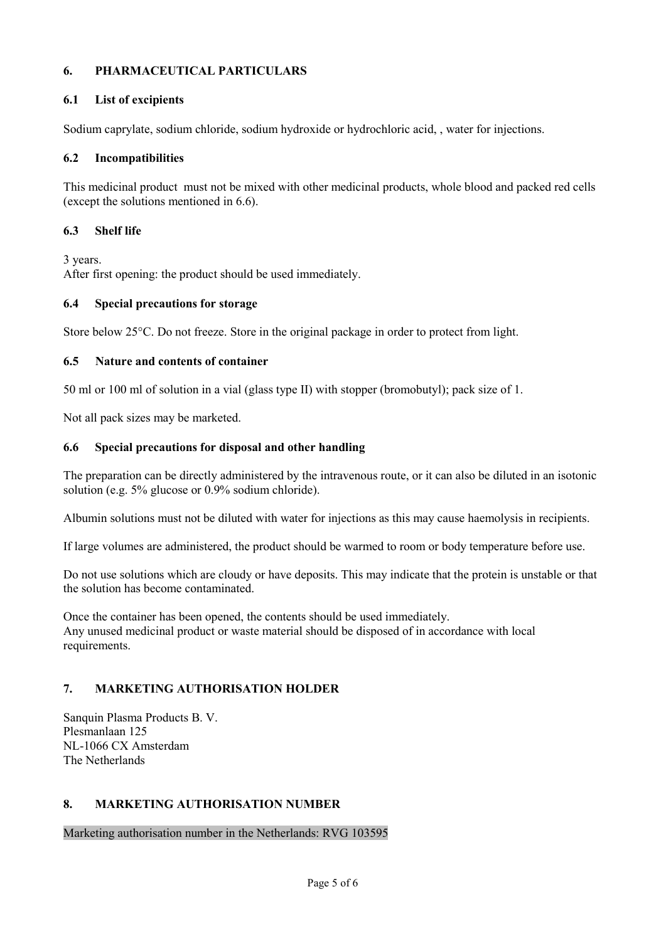## **6. PHARMACEUTICAL PARTICULARS**

### **6.1 List of excipients**

Sodium caprylate, sodium chloride, sodium hydroxide or hydrochloric acid, , water for injections.

### **6.2 Incompatibilities**

This medicinal product must not be mixed with other medicinal products, whole blood and packed red cells (except the solutions mentioned in 6.6).

### **6.3 Shelf life**

3 years. After first opening: the product should be used immediately.

### **6.4 Special precautions for storage**

Store below 25°C. Do not freeze. Store in the original package in order to protect from light.

### **6.5 Nature and contents of container**

50 ml or 100 ml of solution in a vial (glass type II) with stopper (bromobutyl); pack size of 1.

Not all pack sizes may be marketed.

### **6.6 Special precautions for disposal and other handling**

The preparation can be directly administered by the intravenous route, or it can also be diluted in an isotonic solution (e.g. 5% glucose or 0.9% sodium chloride).

Albumin solutions must not be diluted with water for injections as this may cause haemolysis in recipients.

If large volumes are administered, the product should be warmed to room or body temperature before use.

Do not use solutions which are cloudy or have deposits. This may indicate that the protein is unstable or that the solution has become contaminated.

Once the container has been opened, the contents should be used immediately. Any unused medicinal product or waste material should be disposed of in accordance with local requirements.

### **7. MARKETING AUTHORISATION HOLDER**

Sanquin Plasma Products B. V. Plesmanlaan 125 NL-1066 CX Amsterdam The Netherlands

### **8. MARKETING AUTHORISATION NUMBER**

Marketing authorisation number in the Netherlands: RVG 103595